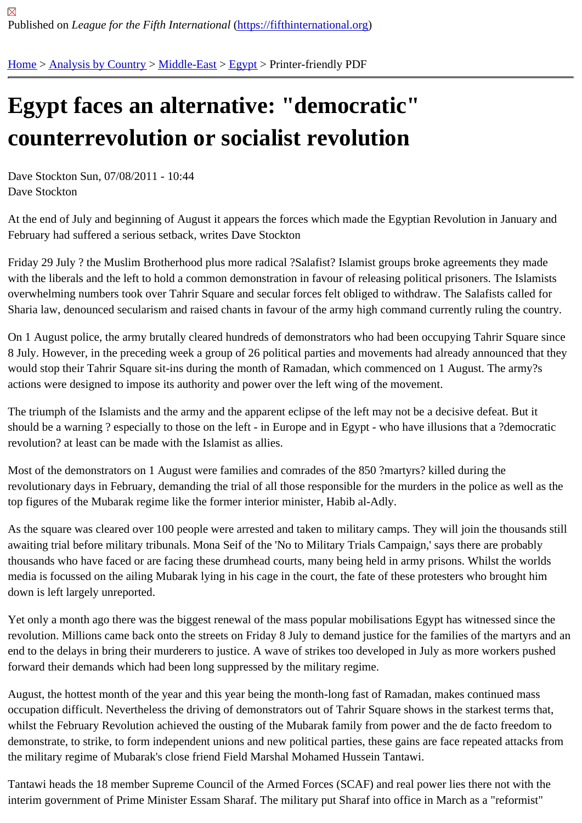## [Eg](https://fifthinternational.org/)y[pt faces a](https://fifthinternational.org/category/1)[n altern](https://fifthinternational.org/category/1/178)[ativ](https://fifthinternational.org/category/1/178/181)e: "democratic" counterrevolution or socialist revolution

Dave Stockton Sun, 07/08/2011 - 10:44 Dave Stockton

At the end of July and beginning of August it appears the forces which made the Egyptian Revolution in January a February had suffered a serious setback, writes Dave Stockton

Friday 29 July ? the Muslim Brotherhood plus more radical ?Salafist? Islamist groups broke agreements they made with the liberals and the left to hold a common demonstration in favour of releasing political prisoners. The Islamist overwhelming numbers took over Tahrir Square and secular forces felt obliged to withdraw. The Salafists called fo Sharia law, denounced secularism and raised chants in favour of the army high command currently ruling the cour

On 1 August police, the army brutally cleared hundreds of demonstrators who had been occupying Tahrir Square s 8 July. However, in the preceding week a group of 26 political parties and movements had already announced tha would stop their Tahrir Square sit-ins during the month of Ramadan, which commenced on 1 August. The army?s actions were designed to impose its authority and power over the left wing of the movement.

The triumph of the Islamists and the army and the apparent eclipse of the left may not be a decisive defeat. But it should be a warning ? especially to those on the left - in Europe and in Egypt - who have illusions that a ?democra revolution? at least can be made with the Islamist as allies.

Most of the demonstrators on 1 August were families and comrades of the 850 ?martyrs? killed during the revolutionary days in February, demanding the trial of all those responsible for the murders in the police as well as top figures of the Mubarak regime like the former interior minister, Habib al-Adly.

As the square was cleared over 100 people were arrested and taken to military camps. They will join the thousand awaiting trial before military tribunals. Mona Seif of the 'No to Military Trials Campaign,' says there are probably thousands who have faced or are facing these drumhead courts, many being held in army prisons. Whilst the worl media is focussed on the ailing Mubarak lying in his cage in the court, the fate of these protesters who brought him down is left largely unreported.

Yet only a month ago there was the biggest renewal of the mass popular mobilisations Egypt has witnessed since revolution. Millions came back onto the streets on Friday 8 July to demand justice for the families of the martyrs ar end to the delays in bring their murderers to justice. A wave of strikes too developed in July as more workers push forward their demands which had been long suppressed by the military regime.

August, the hottest month of the year and this year being the month-long fast of Ramadan, makes continued mass occupation difficult. Nevertheless the driving of demonstrators out of Tahrir Square shows in the starkest terms tha whilst the February Revolution achieved the ousting of the Mubarak family from power and the de facto freedom to demonstrate, to strike, to form independent unions and new political parties, these gains are face repeated attacks the military regime of Mubarak's close friend Field Marshal Mohamed Hussein Tantawi.

Tantawi heads the 18 member Supreme Council of the Armed Forces (SCAF) and real power lies there not with the interim government of Prime Minister Essam Sharaf. The military put Sharaf into office in March as a "reformist"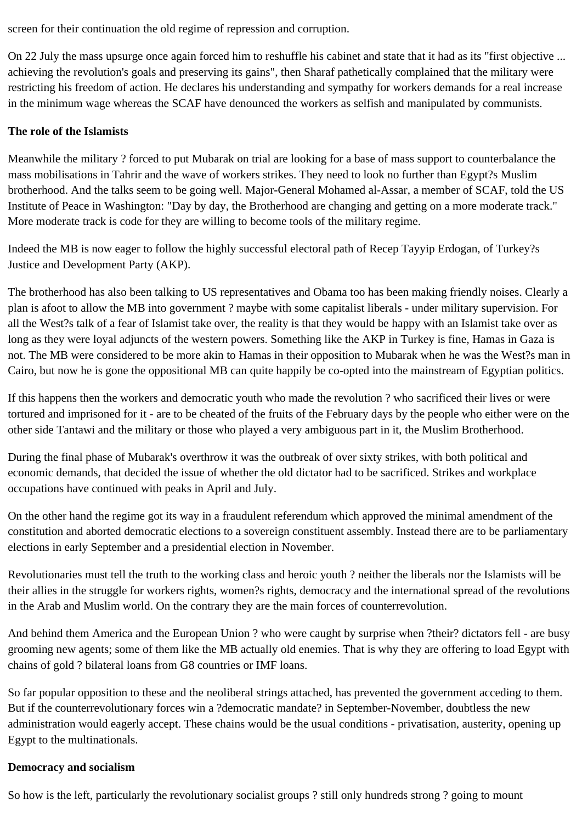screen for their continuation the old regime of repression and corruption.

On 22 July the mass upsurge once again forced him to reshuffle his cabinet and state that it had as its "first objective ... achieving the revolution's goals and preserving its gains", then Sharaf pathetically complained that the military were restricting his freedom of action. He declares his understanding and sympathy for workers demands for a real increase in the minimum wage whereas the SCAF have denounced the workers as selfish and manipulated by communists.

## **The role of the Islamists**

Meanwhile the military ? forced to put Mubarak on trial are looking for a base of mass support to counterbalance the mass mobilisations in Tahrir and the wave of workers strikes. They need to look no further than Egypt?s Muslim brotherhood. And the talks seem to be going well. Major-General Mohamed al-Assar, a member of SCAF, told the US Institute of Peace in Washington: "Day by day, the Brotherhood are changing and getting on a more moderate track." More moderate track is code for they are willing to become tools of the military regime.

Indeed the MB is now eager to follow the highly successful electoral path of Recep Tayyip Erdogan, of Turkey?s Justice and Development Party (AKP).

The brotherhood has also been talking to US representatives and Obama too has been making friendly noises. Clearly a plan is afoot to allow the MB into government ? maybe with some capitalist liberals - under military supervision. For all the West?s talk of a fear of Islamist take over, the reality is that they would be happy with an Islamist take over as long as they were loyal adjuncts of the western powers. Something like the AKP in Turkey is fine, Hamas in Gaza is not. The MB were considered to be more akin to Hamas in their opposition to Mubarak when he was the West?s man in Cairo, but now he is gone the oppositional MB can quite happily be co-opted into the mainstream of Egyptian politics.

If this happens then the workers and democratic youth who made the revolution ? who sacrificed their lives or were tortured and imprisoned for it - are to be cheated of the fruits of the February days by the people who either were on the other side Tantawi and the military or those who played a very ambiguous part in it, the Muslim Brotherhood.

During the final phase of Mubarak's overthrow it was the outbreak of over sixty strikes, with both political and economic demands, that decided the issue of whether the old dictator had to be sacrificed. Strikes and workplace occupations have continued with peaks in April and July.

On the other hand the regime got its way in a fraudulent referendum which approved the minimal amendment of the constitution and aborted democratic elections to a sovereign constituent assembly. Instead there are to be parliamentary elections in early September and a presidential election in November.

Revolutionaries must tell the truth to the working class and heroic youth ? neither the liberals nor the Islamists will be their allies in the struggle for workers rights, women?s rights, democracy and the international spread of the revolutions in the Arab and Muslim world. On the contrary they are the main forces of counterrevolution.

And behind them America and the European Union ? who were caught by surprise when ?their? dictators fell - are busy grooming new agents; some of them like the MB actually old enemies. That is why they are offering to load Egypt with chains of gold ? bilateral loans from G8 countries or IMF loans.

So far popular opposition to these and the neoliberal strings attached, has prevented the government acceding to them. But if the counterrevolutionary forces win a ?democratic mandate? in September-November, doubtless the new administration would eagerly accept. These chains would be the usual conditions - privatisation, austerity, opening up Egypt to the multinationals.

## **Democracy and socialism**

So how is the left, particularly the revolutionary socialist groups ? still only hundreds strong ? going to mount